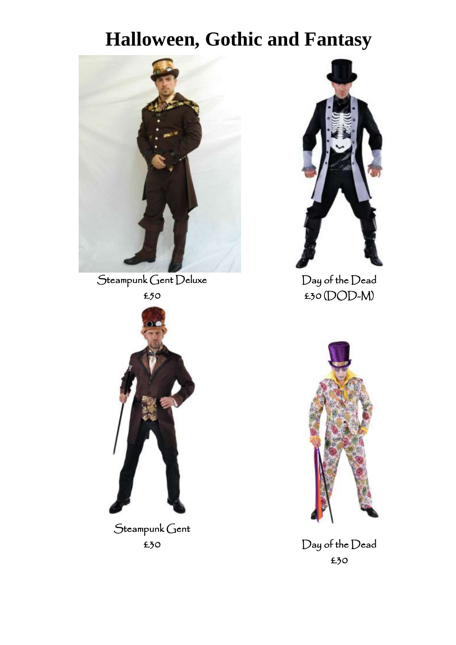

Steampunk Gent Deluxe



Day of the Dead £30 (DOD-M)



Steampunk Gent £30



Day of the Dead £30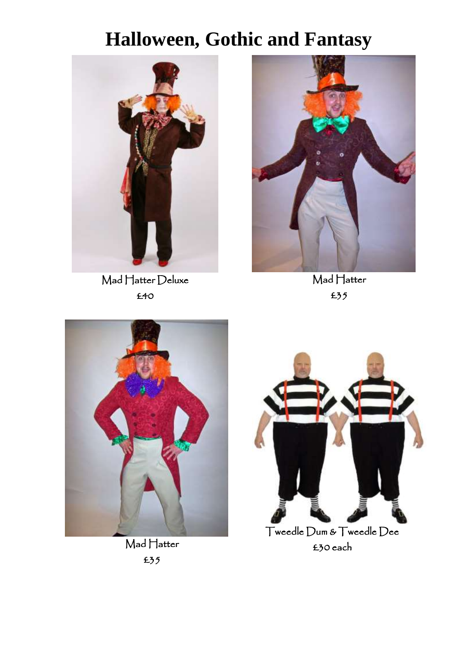

Mad Hatter Deluxe £40



Mad Hatter £35



Mad Hatter £35



Tweedle Dum & Tweedle Dee £30 each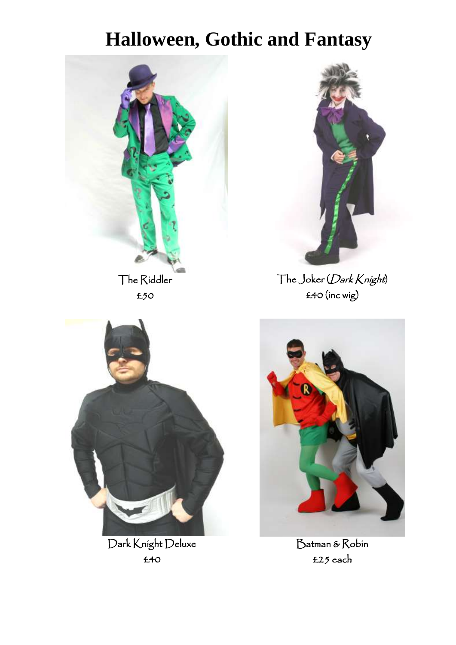



The Joker (Dark Knight) £40 (inc wig)



Dark Knight Deluxe £40



Batman & Robin £25 each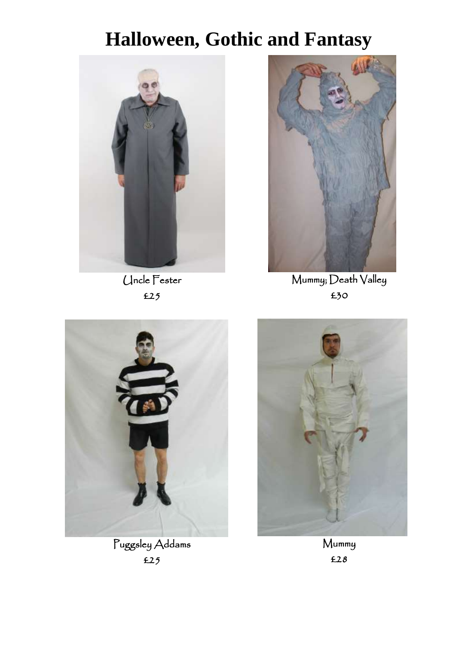

Uncle Fester £25



Mummy; Death Valley £30



Puggsley Addams £25



Mummy £28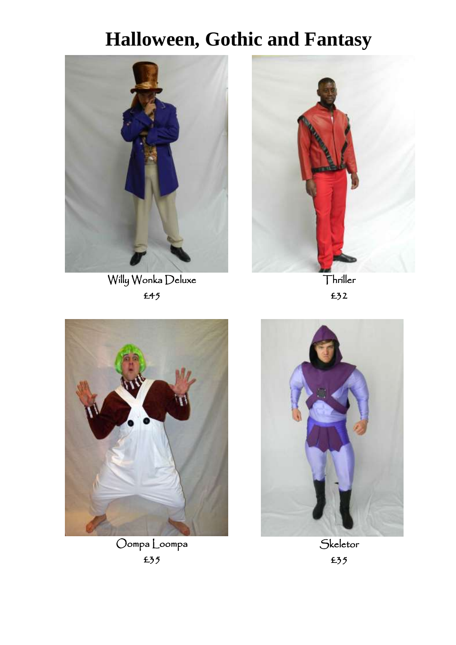I

 $\begin{array}{c} \hline \end{array}$ 



Willy Wonka Deluxe £45



Thriller £32



Oompa Loompa £35



**Skeletor** £35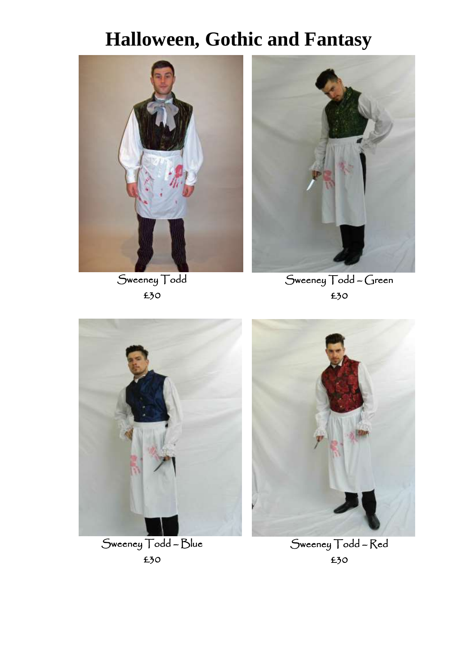

Sweeney Todd £30



Sweeney Todd – Green £30



Sweeney Todd – Blue £30



Sweeney Todd – Red £30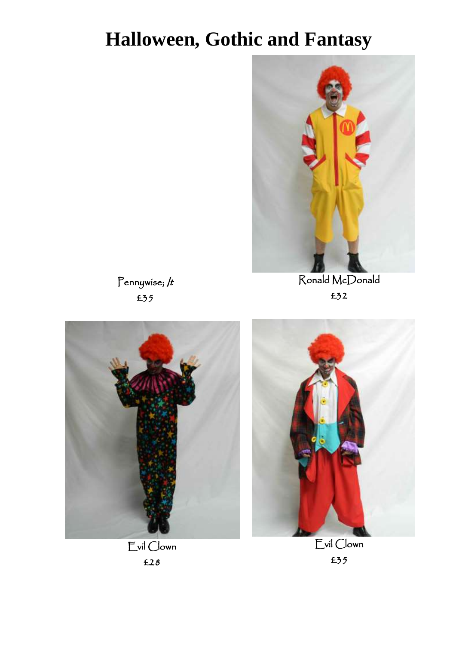

Ronald McDonald £32

Pennywise; /t £35





I



Evil Clown £35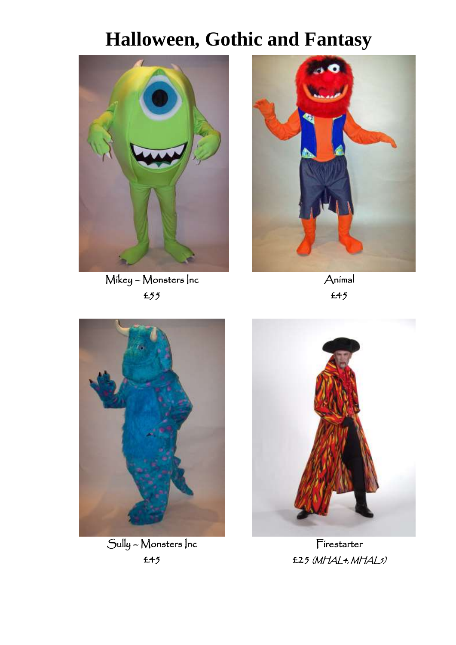

Mikey – Monsters Inc £55



Animal £45



Sully – Monsters Inc £45



Firestarter £25 (MHAL4, MHAL5)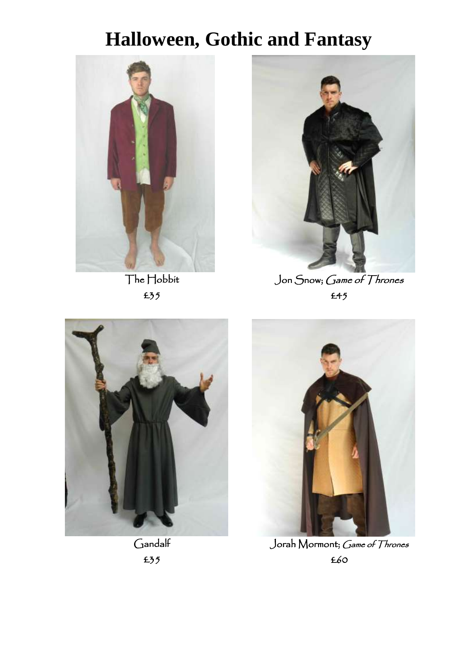

The Hobbit £35

 $\overline{a}$ 



Jon Snow; Game of Thrones £45



Gandalf £35



Jorah Mormont; Game of Thrones £60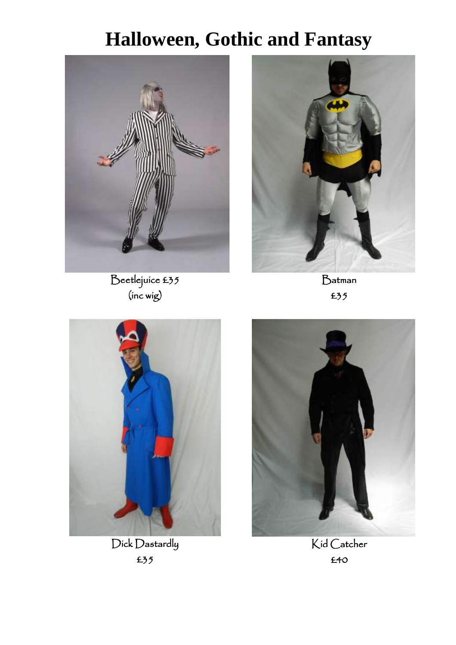

Beetlejuice £35 (inc wig)



Batman £35



Dick Dastardly £35



Kid Catcher £40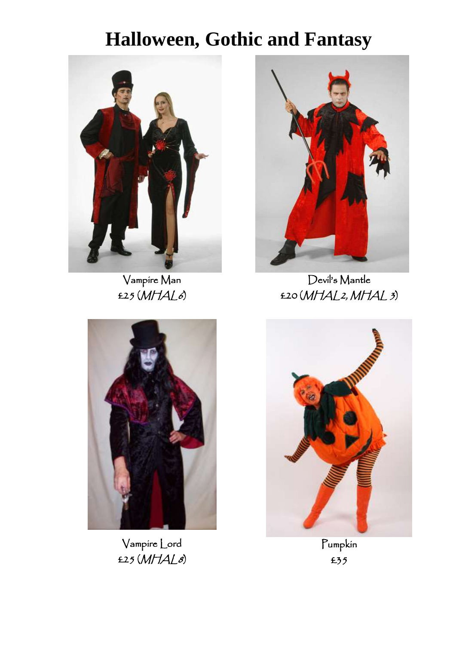

Vampire Man  $£25(MHAL6)$ 



Devil's Mantle  $E20(MHAL2,MHAL3)$ 



Vampire Lord £25 (MHAL8)



Pumpkin £35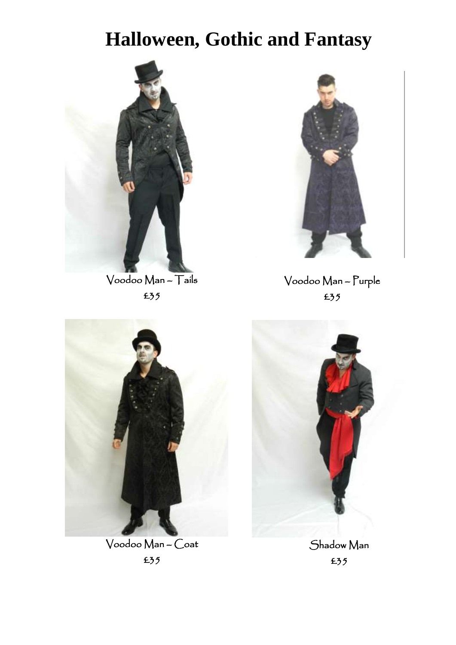

Voodoo Man – Tails £35



Voodoo Man – Purple £35

 $\begin{array}{c} \hline \end{array}$ 



Voodoo Man – Coat £35

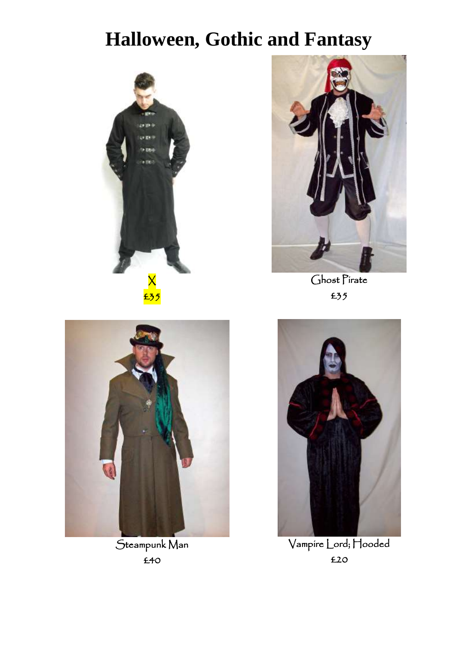



Ghost Pirate £35



Steampunk Man £40



Vampire Lord; Hooded £20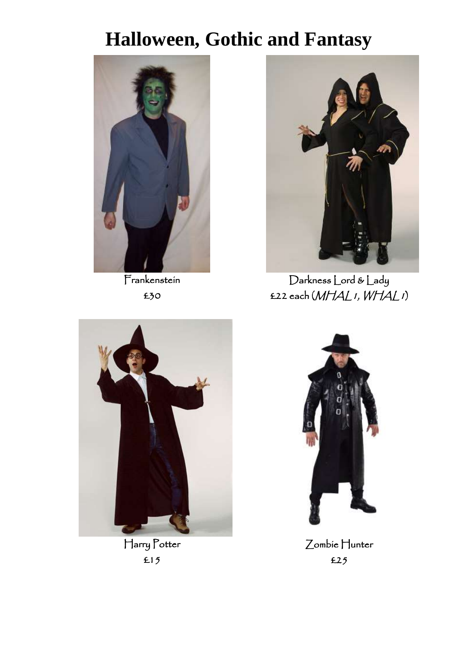

**Frankenstein** £30



Darkness Lord & Lady £22 each (MHAL1, WHAL1)



Harry Potter £15

 $\overline{\phantom{a}}$ 



Zombie Hunter £25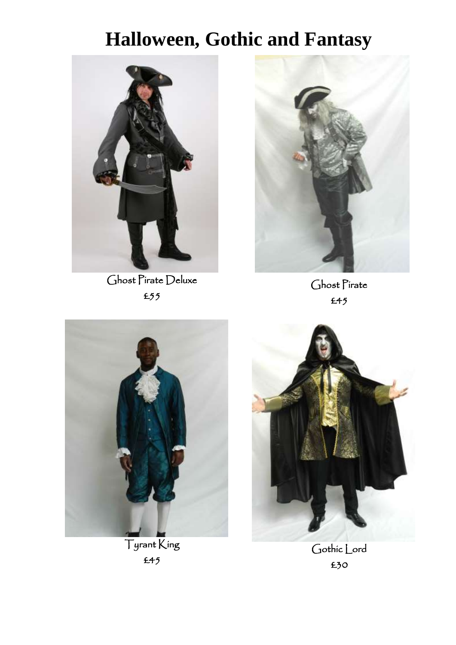

Ghost Pirate Deluxe £55



Ghost Pirate £45



Tyrant King £45

 $\overline{\phantom{a}}$ 



Gothic Lord £30